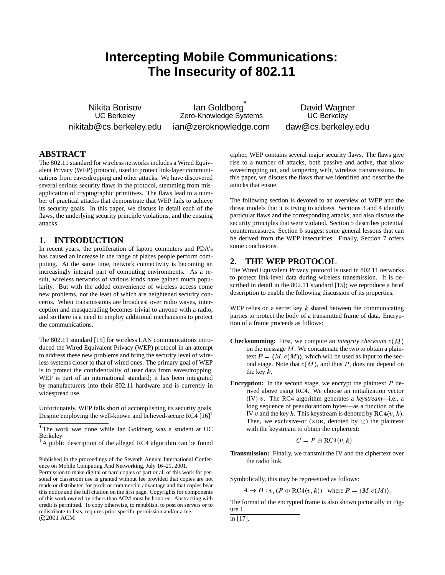# **Intercepting Mobile Communications: The Insecurity of 802.11**

Nikita Borisov UC Berkeley nikitab@cs.berkeley.edu

Ian Goldberg Zero-Knowledge Systems ian@zeroknowledge.com

David Wagner UC Berkeley daw@cs.berkeley.edu

# **ABSTRACT**

The 802.11 standard for wireless networks includes a Wired Equivalent Privacy (WEP) protocol, used to protect link-layer communications from eavesdropping and other attacks. We have discovered several serious security flaws in the protocol, stemming from misapplication of cryptographic primitives. The flaws lead to a number of practical attacks that demonstrate that WEP fails to achieve its security goals. In this paper, we discuss in detail each of the flaws, the underlying security principle violations, and the ensuing attacks.

# **1. INTRODUCTION**

In recent years, the proliferation of laptop computers and PDA's has caused an increase in the range of places people perform computing. At the same time, network connectivity is becoming an increasingly integral part of computing environments. As a result, wireless networks of various kinds have gained much popularity. But with the added convenience of wireless access come new problems, not the least of which are heightened security concerns. When transmissions are broadcast over radio waves, interception and masquerading becomes trivial to anyone with a radio, and so there is a need to employ additional mechanisms to protect the communications.

The 802.11 standard [15] for wireless LAN communications introduced the Wired Equivalent Privacy (WEP) protocol in an attempt to address these new problems and bring the security level of wireless systems closer to that of wired ones. The primary goal of WEP is to protect the confidentiality of user data from eavesdropping. WEP is part of an international standard; it has been integrated by manufacturers into their 802.11 hardware and is currently in widespread use.

Unfortunately, WEP falls short of accomplishing its security goals. Despite employing the well-known and believed-secure RC4  $[16]$ <sup>1</sup> cipher, WEP contains several major security flaws. The flaws give rise to a number of attacks, both passive and active, that allow eavesdropping on, and tampering with, wireless transmissions. In this paper, we discuss the flaws that we identified and describe the attacks that ensue.

The following section is devoted to an overview of WEP and the threat models that it is trying to address. Sections 3 and 4 identify particular flaws and the corresponding attacks, and also discuss the security principles that were violated. Section 5 describes potential countermeasures. Section 6 suggest some general lessons that can be derived from the WEP insecurities. Finally, Section 7 offers some conclusions.

### **2. THE WEP PROTOCOL**

The Wired Equivalent Privacy protocol is used in 802.11 networks to protect link-level data during wireless transmission. It is described in detail in the 802.11 standard [15]; we reproduce a brief description to enable the following discussion of its properties.

WEP relies on a secret key  $k$  shared between the communicating parties to protect the body of a transmitted frame of data. Encryption of a frame proceeds as follows:

- **Checksumming:** First, we compute an *integrity checksum*  $c(M)$ on the message  $M$ . We concatenate the two to obtain a plaintext  $P = \langle M, c(M) \rangle$ , which will be used as input to the second stage. Note that  $c(M)$ , and thus P, does not depend on the key  $k$ .
- **Encryption:** In the second stage, we encrypt the plaintext  $P$  derived above using RC4. We choose an initialization vector (IV) . The RC4 algorithm generates a *keystream*—i.e., a long sequence of pseudorandom bytes—as a function of the IV v and the key k. This keystream is denoted by  $\mathop{\mathrm{RC4}}(v,k)$ . Then, we exclusive-or (XOR, denoted by  $\oplus$ ) the plaintext with the keystream to obtain the ciphertext:

$$
C=P\oplus \mathrm{RC4}(v,k)
$$

**Transmission:** Finally, we transmit the IV and the ciphertext over the radio link.

Symbolically, this may be represented as follows:

 $A \to B : v, (P \oplus RC4(v,k))$  where  $P = \langle M, c(M) \rangle$ .

The format of the encrypted frame is also shown pictorially in Figure 1.

in [17].

The work was done while Ian Goldberg was a student at UC Berkeley

 $A<sup>1</sup>A$  public description of the alleged RC4 algorithm can be found

Published in the proceedings of the Seventh Annual International Conference on Mobile Computing And Networking, July 16–21, 2001.

Permission to make digital or hard copies of part or all of this work for personal or classroom use is granted without fee provided that copies are not made or distributed for profit or commercial advantage and that copies bear this notice and the full citation on the first page. Copyrights for components of this work owned by others than ACM must be honored. Abstracting with credit is permitted. To copy otherwise, to republish, to post on servers or to redistribute to lists, requires prior specific permission and/or a fee. ©2001 ACM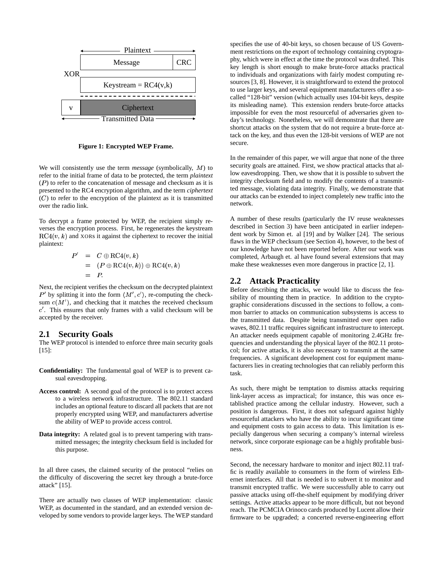

**Figure 1: Encrypted WEP Frame.**

We will consistently use the term *message* (symbolically, M) to refer to the initial frame of data to be protected, the term *plaintext*  $(P)$  to refer to the concatenation of message and checksum as it is presented to the RC4 encryption algorithm, and the term *ciphertext*  $(C)$  to refer to the encryption of the plaintext as it is transmitted over the radio link.

To decrypt a frame protected by WEP, the recipient simply reverses the encryption process. First, he regenerates the keystream  $RC4(v, k)$  and XORs it against the ciphertext to recover the initial plaintext:

$$
P' = C \oplus RC4(v,k)
$$
  
=  $(P \oplus RC4(v,k)) \oplus RC4(v,k)$   
=  $P$ .

Next, the recipient verifies the checksum on the decrypted plaintext  $P'$  by splitting it into the form  $\langle M', c' \rangle$ , re-computing the checksum  $c(M')$ , and checking that it matches the received checksum  $c'$ . This ensures that only frames with a valid checksum will be accepted by the receiver.

#### **2.1 Security Goals**

The WEP protocol is intended to enforce three main security goals [15]:

- **Confidentiality:** The fundamental goal of WEP is to prevent casual eavesdropping.
- **Access control:** A second goal of the protocol is to protect access to a wireless network infrastructure. The 802.11 standard includes an optional feature to discard all packets that are not properly encrypted using WEP, and manufacturers advertise the ability of WEP to provide access control.
- **Data integrity:** A related goal is to prevent tampering with transmitted messages; the integrity checksum field is included for this purpose.

In all three cases, the claimed security of the protocol "relies on the difficulty of discovering the secret key through a brute-force attack" [15].

There are actually two classes of WEP implementation: classic WEP, as documented in the standard, and an extended version developed by some vendors to provide larger keys. The WEP standard specifies the use of 40-bit keys, so chosen because of US Government restrictions on the export of technology containing cryptography, which were in effect at the time the protocol was drafted. This key length is short enough to make brute-force attacks practical to individuals and organizations with fairly modest computing resources [3, 8]. However, it is straightforward to extend the protocol to use larger keys, and several equipment manufacturers offer a socalled "128-bit" version (which actually uses 104-bit keys, despite its misleading name). This extension renders brute-force attacks impossible for even the most resourceful of adversaries given today's technology. Nonetheless, we will demonstrate that there are shortcut attacks on the system that do not require a brute-force attack on the key, and thus even the 128-bit versions of WEP are not secure.

In the remainder of this paper, we will argue that none of the three security goals are attained. First, we show practical attacks that allow eavesdropping. Then, we show that it is possible to subvert the integrity checksum field and to modify the contents of a transmitted message, violating data integrity. Finally, we demonstrate that our attacks can be extended to inject completely new traffic into the network.

A number of these results (particularly the IV reuse weaknesses described in Section 3) have been anticipated in earlier independent work by Simon et. al [19] and by Walker [24]. The serious flaws in the WEP checksum (see Section 4), however, to the best of our knowledge have not been reported before. After our work was completed, Arbaugh et. al have found several extensions that may make these weaknesses even more dangerous in practice [2, 1].

#### **2.2 Attack Practicality**

Before describing the attacks, we would like to discuss the feasibility of mounting them in practice. In addition to the cryptographic considerations discussed in the sections to follow, a common barrier to attacks on communication subsystems is access to the transmitted data. Despite being transmitted over open radio waves, 802.11 traffic requires significant infrastructure to intercept. An attacker needs equipment capable of monitoring 2.4GHz frequencies and understanding the physical layer of the 802.11 protocol; for active attacks, it is also necessary to transmit at the same frequencies. A significant development cost for equipment manufacturers lies in creating technologies that can reliably perform this task.

As such, there might be temptation to dismiss attacks requiring link-layer access as impractical; for instance, this was once established practice among the cellular industry. However, such a position is dangerous. First, it does not safeguard against highly resourceful attackers who have the ability to incur significant time and equipment costs to gain access to data. This limitation is especially dangerous when securing a company's internal wireless network, since corporate espionage can be a highly profitable business.

Second, the necessary hardware to monitor and inject 802.11 traffic is readily available to consumers in the form of wireless Ethernet interfaces. All that is needed is to subvert it to monitor and transmit encrypted traffic. We were successfully able to carry out passive attacks using off-the-shelf equipment by modifying driver settings. Active attacks appear to be more difficult, but not beyond reach. The PCMCIA Orinoco cards produced by Lucent allow their firmware to be upgraded; a concerted reverse-engineering effort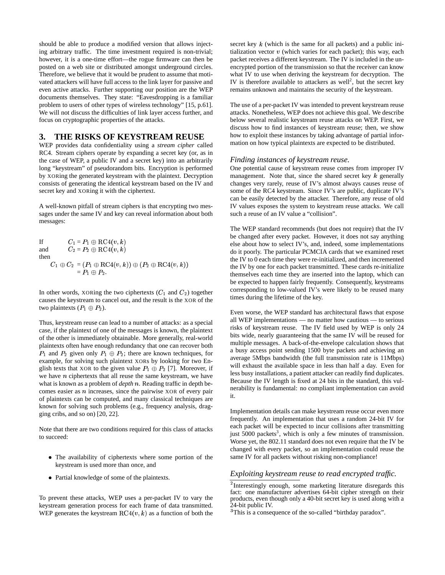should be able to produce a modified version that allows injecting arbitrary traffic. The time investment required is non-trivial; however, it is a one-time effort—the rogue firmware can then be posted on a web site or distributed amongst underground circles. Therefore, we believe that it would be prudent to assume that motivated attackers will have full access to the link layer for passive and even active attacks. Further supporting our position are the WEP documents themselves. They state: "Eavesdropping is a familiar problem to users of other types of wireless technology" [15, p.61]. We will not discuss the difficulties of link layer access further, and focus on cryptographic properties of the attacks.

### **3. THE RISKS OF KEYSTREAM REUSE**

WEP provides data confidentiality using a *stream cipher* called RC4. Stream ciphers operate by expanding a secret key (or, as in the case of WEP, a public IV and a secret key) into an arbitrarily long "keystream" of pseudorandom bits. Encryption is performed by XORing the generated keystream with the plaintext. Decryption consists of generating the identical keystream based on the IV and secret key and XORing it with the ciphertext.

A well-known pitfall of stream ciphers is that encrypting two messages under the same IV and key can reveal information about both messages:

If 
$$
C_1 = P_1 \oplus RC4(v, k)
$$
  
and  $C_2 = P_2 \oplus RC4(v, k)$   
then  
 $C_1 \oplus C_2 = (P_1 \oplus RC4(v, k)) \oplus (P_2 \oplus RC4(v, k))$   
 $= P_1 \oplus P_2.$ 

In other words, XORing the two ciphertexts  $(C_1$  and  $C_2$ ) together causes the keystream to cancel out, and the result is the XOR of the two plaintexts  $(P_1 \oplus P_2)$ .

Thus, keystream reuse can lead to a number of attacks: as a special case, if the plaintext of one of the messages is known, the plaintext of the other is immediately obtainable. More generally, real-world plaintexts often have enough redundancy that one can recover both  $P_1$  and  $P_2$  given only  $P_1 \oplus P_2$ ; there are known techniques, for example, for solving such plaintext XORs by looking for two English texts that XOR to the given value  $P_1 \oplus P_2$  [7]. Moreover, if we have  $n$  ciphertexts that all reuse the same keystream, we have what is known as a problem of *depth n*. Reading traffic in depth becomes easier as  $n$  increases, since the pairwise XOR of every pair of plaintexts can be computed, and many classical techniques are known for solving such problems (e.g., frequency analysis, dragging cribs, and so on) [20, 22].

Note that there are two conditions required for this class of attacks to succeed:

- The availability of ciphertexts where some portion of the keystream is used more than once, and
- Partial knowledge of some of the plaintexts.

To prevent these attacks, WEP uses a per-packet IV to vary the keystream generation process for each frame of data transmitted. WEP generates the keystream  $RC4(v, k)$  as a function of both the secret key  $k$  (which is the same for all packets) and a public initialization vector  $v$  (which varies for each packet); this way, each packet receives a different keystream. The IV is included in the unencrypted portion of the transmission so that the receiver can know what IV to use when deriving the keystream for decryption. The IV is therefore available to attackers as well<sup>2</sup>, but the secret key remains unknown and maintains the security of the keystream.

The use of a per-packet IV was intended to prevent keystream reuse attacks. Nonetheless, WEP does not achieve this goal. We describe below several realistic keystream reuse attacks on WEP. First, we discuss how to find instances of keystream reuse; then, we show how to exploit these instances by taking advantage of partial information on how typical plaintexts are expected to be distributed.

#### *Finding instances of keystream reuse.*

One potential cause of keystream reuse comes from improper IV management. Note that, since the shared secret key  $k$  generally changes very rarely, reuse of IV's almost always causes reuse of some of the RC4 keystream. Since IV's are public, duplicate IV's can be easily detected by the attacker. Therefore, any reuse of old IV values exposes the system to keystream reuse attacks. We call such a reuse of an IV value a "collision".

The WEP standard recommends (but does not require) that the IV be changed after every packet. However, it does not say anything else about how to select IV's, and, indeed, some implementations do it poorly. The particular PCMCIA cards that we examined reset the IV to 0 each time they were re-initialized, and then incremented the IV by one for each packet transmitted. These cards re-initialize themselves each time they are inserted into the laptop, which can be expected to happen fairly frequently. Consequently, keystreams corresponding to low-valued IV's were likely to be reused many times during the lifetime of the key.

Even worse, the WEP standard has architectural flaws that expose all WEP implementations — no matter how cautious — to serious risks of keystream reuse. The IV field used by WEP is only 24 bits wide, nearly guaranteeing that the same IV will be reused for multiple messages. A back-of-the-envelope calculation shows that a busy access point sending 1500 byte packets and achieving an average 5Mbps bandwidth (the full transmission rate is 11Mbps) will exhaust the available space in less than half a day. Even for less busy installations, a patient attacker can readily find duplicates. Because the IV length is fixed at 24 bits in the standard, this vulnerability is fundamental: no compliant implementation can avoid it.

Implementation details can make keystream reuse occur even more frequently. An implementation that uses a random 24-bit IV for each packet will be expected to incur collisions after transmitting just 5000 packets<sup>3</sup>, which is only a few minutes of transmission. Worse yet, the 802.11 standard does not even require that the IV be changed with every packet, so an implementation could reuse the same IV for all packets without risking non-compliance!

#### *Exploiting keystream reuse to read encrypted traffic.*

<sup>&</sup>lt;sup>2</sup>Interestingly enough, some marketing literature disregards this fact: one manufacturer advertises 64-bit cipher strength on their products, even though only a 40-bit secret key is used along with a 24-bit public IV.

<sup>&</sup>lt;sup>3</sup>This is a consequence of the so-called "birthday paradox".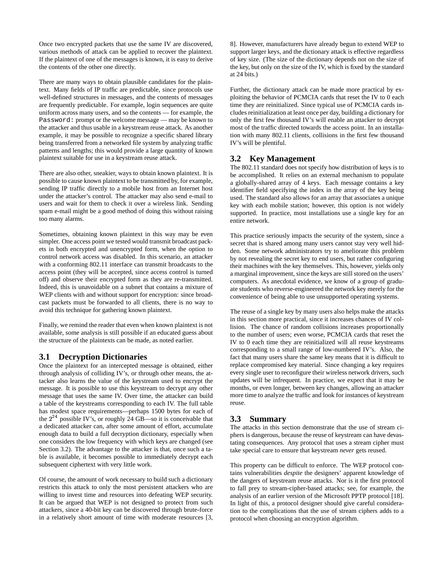Once two encrypted packets that use the same IV are discovered, various methods of attack can be applied to recover the plaintext. If the plaintext of one of the messages is known, it is easy to derive the contents of the other one directly.

There are many ways to obtain plausible candidates for the plaintext. Many fields of IP traffic are predictable, since protocols use well-defined structures in messages, and the contents of messages are frequently predictable. For example, login sequences are quite uniform across many users, and so the contents — for example, the Password: prompt or the welcome message — may be known to the attacker and thus usable in a keystream reuse attack. As another example, it may be possible to recognize a specific shared library being transferred from a networked file system by analyzing traffic patterns and lengths; this would provide a large quantity of known plaintext suitable for use in a keystream reuse attack.

There are also other, sneakier, ways to obtain known plaintext. It is possible to cause known plaintext to be transmitted by, for example, sending IP traffic directly to a mobile host from an Internet host under the attacker's control. The attacker may also send e-mail to users and wait for them to check it over a wireless link. Sending spam e-mail might be a good method of doing this without raising too many alarms.

Sometimes, obtaining known plaintext in this way may be even simpler. One access point we tested would transmit broadcast packets in both encrypted and unencrypted form, when the option to control network access was disabled. In this scenario, an attacker with a conforming 802.11 interface can transmit broadcasts to the access point (they will be accepted, since access control is turned off) and observe their encrypted form as they are re-transmitted. Indeed, this is unavoidable on a subnet that contains a mixture of WEP clients with and without support for encryption: since broadcast packets must be forwarded to all clients, there is no way to avoid this technique for gathering known plaintext.

Finally, we remind the reader that even when known plaintext is not available, some analysis is still possible if an educated guess about the structure of the plaintexts can be made, as noted earlier.

## **3.1 Decryption Dictionaries**

Once the plaintext for an intercepted message is obtained, either through analysis of colliding IV's, or through other means, the attacker also learns the value of the keystream used to encrypt the message. It is possible to use this keystream to decrypt any other message that uses the same IV. Over time, the attacker can build a table of the keystreams corresponding to each IV. The full table has modest space requirements—perhaps 1500 bytes for each of the  $2^{24}$  possible IV's, or roughly 24 GB—so it is conceivable that a dedicated attacker can, after some amount of effort, accumulate enough data to build a full decryption dictionary, especially when one considers the low frequency with which keys are changed (see Section 3.2). The advantage to the attacker is that, once such a table is available, it becomes possible to immediately decrypt each subsequent ciphertext with very little work.

Of course, the amount of work necessary to build such a dictionary restricts this attack to only the most persistent attackers who are willing to invest time and resources into defeating WEP security. It can be argued that WEP is not designed to protect from such attackers, since a 40-bit key can be discovered through brute-force in a relatively short amount of time with moderate resources [3,

8]. However, manufacturers have already begun to extend WEP to support larger keys, and the dictionary attack is effective regardless of key size. (The size of the dictionary depends not on the size of the key, but only on the size of the IV, which is fixed by the standard at 24 bits.)

Further, the dictionary attack can be made more practical by exploiting the behavior of PCMCIA cards that reset the IV to 0 each time they are reinitialized. Since typical use of PCMCIA cards includes reinitialization at least once per day, building a dictionary for only the first few thousand IV's will enable an attacker to decrypt most of the traffic directed towards the access point. In an installation with many 802.11 clients, collisions in the first few thousand IV's will be plentiful.

## **3.2 Key Management**

The 802.11 standard does not specify how distribution of keys is to be accomplished. It relies on an external mechanism to populate a globally-shared array of 4 keys. Each message contains a key identifier field specifying the index in the array of the key being used. The standard also allows for an array that associates a unique key with each mobile station; however, this option is not widely supported. In practice, most installations use a single key for an entire network.

This practice seriously impacts the security of the system, since a secret that is shared among many users cannot stay very well hidden. Some network administrators try to ameliorate this problem by not revealing the secret key to end users, but rather configuring their machines with the key themselves. This, however, yields only a marginal improvement, since the keys are still stored on the users' computers. As anecdotal evidence, we know of a group of graduate students who reverse-engineered the network key merely for the convenience of being able to use unsupported operating systems.

The reuse of a single key by many users also helps make the attacks in this section more practical, since it increases chances of IV collision. The chance of random collisions increases proportionally to the number of users; even worse, PCMCIA cards that reset the IV to 0 each time they are reinitialized will all reuse keystreams corresponding to a small range of low-numbered IV's. Also, the fact that many users share the same key means that it is difficult to replace compromised key material. Since changing a key requires every single user to reconfigure their wireless network drivers, such updates will be infrequent. In practice, we expect that it may be months, or even longer, between key changes, allowing an attacker more time to analyze the traffic and look for instances of keystream reuse.

# **3.3 Summary**

The attacks in this section demonstrate that the use of stream ciphers is dangerous, because the reuse of keystream can have devastating consequences. Any protocol that uses a stream cipher must take special care to ensure that keystream *never* gets reused.

This property can be difficult to enforce. The WEP protocol contains vulnerabilities *despite* the designers' apparent knowledge of the dangers of keystream reuse attacks. Nor is it the first protocol to fall prey to stream-cipher-based attacks; see, for example, the analysis of an earlier version of the Microsoft PPTP protocol [18]. In light of this, a protocol designer should give careful consideration to the complications that the use of stream ciphers adds to a protocol when choosing an encryption algorithm.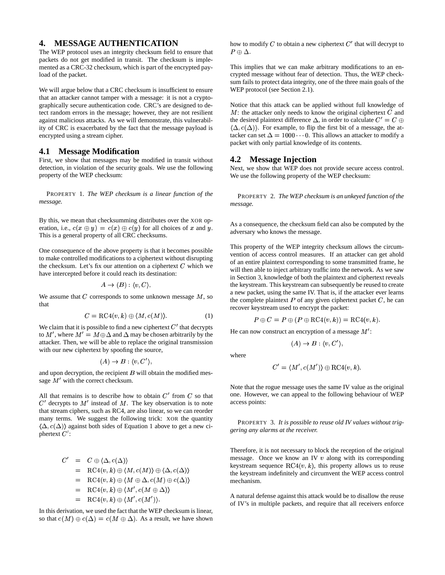## **4. MESSAGE AUTHENTICATION**

The WEP protocol uses an integrity checksum field to ensure that packets do not get modified in transit. The checksum is implemented as a CRC-32 checksum, which is part of the encrypted payload of the packet.

We will argue below that a CRC checksum is insufficient to ensure that an attacker cannot tamper with a message: it is not a cryptographically secure authentication code. CRC's are designed to detect random errors in the message; however, they are not resilient against malicious attacks. As we will demonstrate, this vulnerability of CRC is exacerbated by the fact that the message payload is encrypted using a stream cipher.

#### **4.1 Message Modification**

First, we show that messages may be modified in transit without detection, in violation of the security goals. We use the following property of the WEP checksum:

PROPERTY 1. *The WEP checksum is a linear function of the message.*

By this, we mean that checksumming distributes over the XOR operation, i.e.,  $c(x \oplus y) = c(x) \oplus c(y)$  for all choices of x and y. This is a general property of all CRC checksums.

One consequence of the above property is that it becomes possible to make controlled modifications to a ciphertext without disrupting the checksum. Let's fix our attention on a ciphertext  $C$  which we have intercepted before it could reach its destination:

$$
A \to (B) : \langle v, C \rangle.
$$

We assume that  $C$  corresponds to some unknown message  $M$ , so that

$$
C = \mathrm{RC4}(v, k) \oplus \langle M, c(M) \rangle. \tag{1}
$$

We claim that it is possible to find a new ciphertext  $C'$  that decrypts to  $M'$ , where  $M' = M \oplus \Delta$  and  $\Delta$  may be chosen arbitrarily by the attacker. Then, we will be able to replace the original transmission with our new ciphertext by spoofing the source,

$$
(A) \to B: \langle v, C' \rangle,
$$

and upon decryption, the recipient  $B$  will obtain the modified message  $M'$  with the correct checksum.

All that remains is to describe how to obtain  $C'$  from  $C$  so that  $\qquad$ <sup>01</sup>  $C'$  decrypts to  $M'$  instead of M. The key observation is to note that stream ciphers, such as RC4, are also linear, so we can reorder many terms. We suggest the following trick: XOR the quantity  $\langle \Delta, c(\Delta) \rangle$  against both sides of Equation 1 above to get a new ciphertext  $C'$ :

$$
C' = C \oplus \langle \Delta, c(\Delta) \rangle
$$
  
= RC4(v, k) \oplus \langle M, c(M) \rangle \oplus \langle \Delta, c(\Delta) \rangle  
= RC4(v, k) \oplus \langle M \oplus \Delta, c(M) \oplus c(\Delta) \rangle  
= RC4(v, k) \oplus \langle M', c(M \oplus \Delta) \rangle  
= RC4(v, k) \oplus \langle M', c(M') \rangle.

In this derivation, we used the fact that the WEP checksum is linear, so that  $c(M) \oplus c(\Delta) = c(M \oplus \Delta)$ . As a result, we have shown

how to modify C to obtain a new ciphertext  $C'$  that will decrypt to  $P \oplus \Delta.$ 

This implies that we can make arbitrary modifications to an encrypted message without fear of detection. Thus, the WEP checksum fails to protect data integrity, one of the three main goals of the WEP protocol (see Section 2.1).

Notice that this attack can be applied without full knowledge of  $M$ : the attacker only needs to know the original ciphertext  $C$  and the desired plaintext difference  $\Delta$ , in order to calculate  $C'=C\oplus$  $\langle \Delta, c(\Delta) \rangle$ . For example, to flip the first bit of a message, the attacker can set  $\Delta = 1000$  . This allows an attacker to modify a packet with only partial knowledge of its contents.

# **4.2 Message Injection**

Next, we show that WEP does not provide secure access control. We use the following property of the WEP checksum:

PROPERTY 2. *The WEP checksum is an unkeyed function of the message.*

As a consequence, the checksum field can also be computed by the adversary who knows the message.

This property of the WEP integrity checksum allows the circumvention of access control measures. If an attacker can get ahold of an entire plaintext corresponding to some transmitted frame, he will then able to inject arbitrary traffic into the network. As we saw in Section 3, knowledge of both the plaintext and ciphertext reveals the keystream. This keystream can subsequently be reused to create a new packet, using the same IV. That is, if the attacker ever learns the complete plaintext  $P$  of any given ciphertext packet  $C$ , he can recover keystream used to encrypt the packet:

$$
P \oplus C = P \oplus (P \oplus \mathrm{RC4}(v,k)) = \mathrm{RC4}(v,k).
$$

He can now construct an encryption of a message  $M'$ :

$$
(A) \to B : \langle v, C' \rangle,
$$

where

$$
C' = \langle M', c(M') \rangle \oplus \text{RC4}(v, k).
$$

Note that the rogue message uses the same IV value as the original one. However, we can appeal to the following behaviour of WEP access points:

PROPERTY 3. *It is possible to reuse old IV values without triggering any alarms at the receiver.*

Therefore, it is not necessary to block the reception of the original message. Once we know an IV  $v$  along with its corresponding keystream sequence  $RC4(v, k)$ , this property allows us to reuse the keystream indefinitely and circumvent the WEP access control mechanism.

A natural defense against this attack would be to disallow the reuse of IV's in multiple packets, and require that all receivers enforce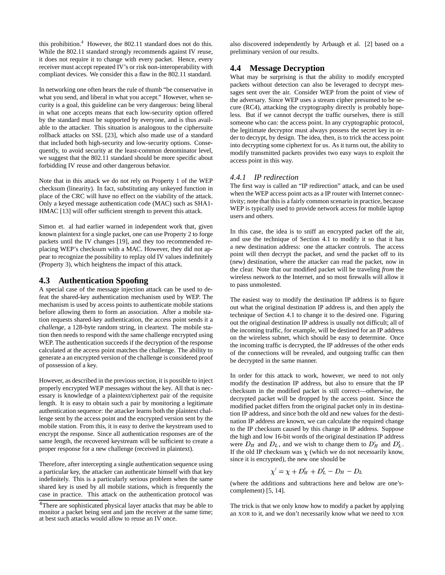this prohibition.<sup>4</sup> However, the 802.11 standard does not do this. While the 802.11 standard strongly recommends against IV reuse, it does not require it to change with every packet. Hence, every receiver must accept repeated IV's or risk non-interoperability with compliant devices. We consider this a flaw in the 802.11 standard.

In networking one often hears the rule of thumb "be conservative in what you send, and liberal in what you accept." However, when security is a goal, this guideline can be very dangerous: being liberal in what one accepts means that each low-security option offered by the standard must be supported by everyone, and is thus available to the attacker. This situation is analogous to the ciphersuite rollback attacks on SSL [23], which also made use of a standard that included both high-security and low-security options. Consequently, to avoid security at the least-common denominator level, we suggest that the 802.11 standard should be more specific about forbidding IV reuse and other dangerous behavior.

Note that in this attack we do not rely on Property 1 of the WEP checksum (linearity). In fact, substituting any unkeyed function in place of the CRC will have no effect on the viability of the attack. Only a keyed message authentication code (MAC) such as SHA1- HMAC [13] will offer sufficient strength to prevent this attack.

Simon et. al had earlier warned in independent work that, given known plaintext for a single packet, one can use Property 2 to forge packets until the IV changes [19], and they too recommended replacing WEP's checksum with a MAC. However, they did not appear to recognize the possibility to replay old IV values indefinitely (Property 3), which heightens the impact of this attack.

#### **4.3 Authentication Spoofing**

A special case of the message injection attack can be used to defeat the shared-key authentication mechanism used by WEP. The mechanism is used by access points to authenticate mobile stations before allowing them to form an association. After a mobile station requests shared-key authentication, the access point sends it a *challenge*, a 128-byte random string, in cleartext. The mobile station then needs to respond with the same challenge encrypted using WEP. The authentication succeeds if the decryption of the response calculated at the access point matches the challenge. The ability to generate a an encrypted version of the challenge is considered proof of possession of a key.

However, as described in the previous section, it is possible to inject properly encrypted WEP messages without the key. All that is necessary is knowledge of a plaintext/ciphertext pair of the requisite length. It is easy to obtain such a pair by monitoring a legitimate authentication sequence: the attacker learns both the plaintext challenge sent by the access point and the encrypted version sent by the mobile station. From this, it is easy to derive the keystream used to encrypt the response. Since all authentication responses are of the same length, the recovered keystream will be sufficient to create a proper response for a new challenge (received in plaintext).

Therefore, after intercepting a single authentication sequence using a particular key, the attacker can authenticate himself with that key indefinitely. This is a particularly serious problem when the same shared key is used by all mobile stations, which is frequently the case in practice. This attack on the authentication protocol was

also discovered independently by Arbaugh et al. [2] based on a preliminary version of our results.

## **4.4 Message Decryption**

What may be surprising is that the ability to modify encrypted packets without detection can also be leveraged to decrypt messages sent over the air. Consider WEP from the point of view of the adversary. Since WEP uses a stream cipher presumed to be secure (RC4), attacking the cryptography directly is probably hopeless. But if we cannot decrypt the traffic ourselves, there is still someone who can: the access point. In any cryptographic protocol, the legitimate decryptor must always possess the secret key in order to decrypt, by design. The idea, then, is to trick the access point into decrypting some ciphertext for us. As it turns out, the ability to modify transmitted packets provides two easy ways to exploit the access point in this way.

#### *4.4.1 IP redirection*

The first way is called an "IP redirection" attack, and can be used when the WEP access point acts as a IP router with Internet connectivity; note that thisis a fairly common scenario in practice, because WEP is typically used to provide network access for mobile laptop users and others.

In this case, the idea is to sniff an encrypted packet off the air, and use the technique of Section 4.1 to modify it so that it has a new destination address: one the attacker controls. The access point will then decrypt the packet, and send the packet off to its (new) destination, where the attacker can read the packet, now in the clear. Note that our modified packet will be traveling *from* the wireless network *to* the Internet, and so most firewalls will allow it to pass unmolested.

The easiest way to modify the destination IP address is to figure out what the original destination IP address is, and then apply the technique of Section 4.1 to change it to the desired one. Figuring out the original destination IP address is usually not difficult; all of the incoming traffic, for example, will be destined for an IP address on the wireless subnet, which should be easy to determine. Once the incoming traffic is decrypted, the IP addresses of the other ends of the connections will be revealed, and outgoing traffic can then be decrypted in the same manner.

In order for this attack to work, however, we need to not only modify the destination IP address, but also to ensure that the IP checksum in the modified packet is still correct—otherwise, the decrypted packet will be dropped by the access point. Since the modified packet differs from the original packet only in its destination IP address, and since both the old and new values for the destination IP address are known, we can calculate the required change to the IP checksum caused by this change in IP address. Suppose the high and low 16-bit words of the original destination IP address were  $D_H$  and  $D_L$ , and we wish to change them to  $D'_H$  and  $D'_L$ . If the old IP checksum was  $\chi$  (which we do not necessarily know, since it is encrypted), the new one should be

$$
\chi'=\chi+D_H'+D_L'-D_H-D_L
$$

(where the additions and subtractions here and below are one'scomplement) [5, 14].

The trick is that we only know how to modify a packet by applying an XOR to it, and we don't necessarily know what we need to XOR

There are sophisticated physical layer attacks that may be able to monitor a packet being sent and jam the receiver at the same time; at best such attacks would allow to reuse an IV once.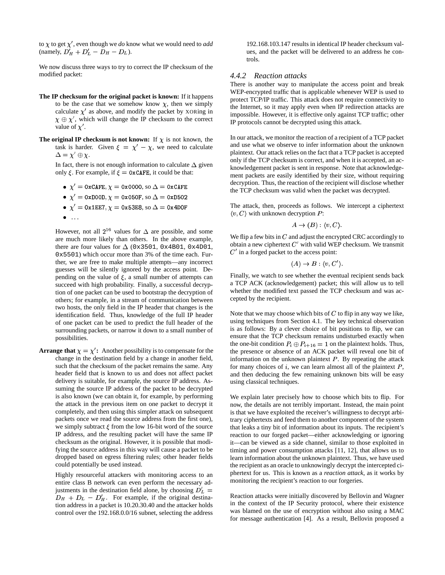to  $\chi$  to get  $\chi'$ , even though we *do* know what we would need to *add* (namely,  $D'_H + D'_L - D_H - D_L$ ).

We now discuss three ways to try to correct the IP checksum of the modified packet:

- **The IP checksum for the original packet is known:** If it happens to be the case that we somehow know  $\chi$ , then we simply calculate  $\chi'$  as above, and modify the packet by XORing in  $\chi \oplus \chi'$ , which will change the IP checksum to the correct value of  $\chi'$ .
- **The original IP checksum is not known:** If  $\chi$  is not known, the task is harder. Given  $\xi = \chi' - \chi$ , we need to calculate  $\Delta = \chi' \oplus \chi.$

In fact, there is not enough information to calculate  $\Delta$  given only  $\xi$ . For example, if  $\xi = 0$  xCAFE, it could be that:

- $\bullet \;\; \chi'=$  OxCAFE,  $\chi=$  Ox0000, so  $\Delta=$  OxCAFE
- $\bullet~~ \chi^{\prime} =$  0xD00D,  $\chi =$  0x050F, so  $\Delta =$  0xD502
- $\bullet~~ \chi'=$  0x1EE7,  $\chi=$  0x53E8, so  $\Delta=$  0x4D0F
- <sup>A</sup> #b#+#

However, not all  $2^{16}$  values for  $\Delta$  are possible, and some are much more likely than others. In the above example, there are four values for  $\Delta$  (0x3501, 0x4B01, 0x4D01, 0x5501) which occur more than 3% of the time each. Further, we are free to make multiple attempts—any incorrect guesses will be silently ignored by the access point. Depending on the value of  $\xi$ , a small number of attempts can succeed with high probability. Finally, a successful decryption of one packet can be used to bootstrap the decryption of others; for example, in a stream of communication between two hosts, the only field in the IP header that changes is the identification field. Thus, knowledge of the full IP header of one packet can be used to predict the full header of the surrounding packets, or narrow it down to a small number of possibilities.

**Arrange that**  $\chi = \chi'$ : Another possibility is to compensate for the change in the destination field by a change in another field, such that the checksum of the packet remains the same. Any header field that is known to us and does not affect packet delivery is suitable, for example, the source IP address. Assuming the source IP address of the packet to be decrypted is also known (we can obtain it, for example, by performing the attack in the previous item on one packet to decrypt it completely, and then using this simpler attack on subsequent packets once we read the source address from the first one), we simply subtract  $\xi$  from the low 16-bit word of the source IP address, and the resulting packet will have the same IP checksum as the original. However, it is possible that modifying the source address in this way will cause a packet to be dropped based on egress filtering rules; other header fields could potentially be used instead.

Highly resourceful attackers with monitoring access to an entire class B network can even perform the necessary adjustments in the destination field alone, by choosing  $D'_L =$  $D_H + D_L - D'_H$ . For example, if the original destination address in a packet is 10.20.30.40 and the attacker holds control over the 192.168.0.0/16 subnet, selecting the address

192.168.103.147 results in identical IP header checksum values, and the packet will be delivered to an address he controls.

#### *4.4.2 Reaction attacks*

There is another way to manipulate the access point and break WEP-encrypted traffic that is applicable whenever WEP is used to protect TCP/IP traffic. This attack does not require connectivity to the Internet, so it may apply even when IP redirection attacks are impossible. However, it is effective only against TCP traffic; other IP protocols cannot be decrypted using this attack.

In our attack, we monitor the reaction of a recipient of a TCP packet and use what we observe to infer information about the unknown plaintext. Our attack relies on the fact that a TCP packet is accepted only if the TCP checksum is correct, and when it is accepted, an acknowledgement packet is sent in response. Note that acknowledgement packets are easily identified by their size, without requiring decryption. Thus, the reaction of the recipient will disclose whether the TCP checksum was valid when the packet was decrypted.

The attack, then, proceeds as follows. We intercept a ciphertext  $\langle v, C \rangle$  with unknown decryption P:

$$
A \to (B) : \langle v, C \rangle.
$$

We flip a few bits in  $C$  and adjust the encrypted CRC accordingly to obtain a new ciphertext  $C'$  with valid WEP checksum. We transmit  $C'$  in a forged packet to the access point:

$$
(A) \to B : \langle v, C' \rangle.
$$

Finally, we watch to see whether the eventual recipient sends back a TCP ACK (acknowledgement) packet; this will allow us to tell whether the modified text passed the TCP checksum and was accepted by the recipient.

Note that we may choose which bits of  $C$  to flip in any way we like, using techniques from Section 4.1. The key technical observation is as follows: By a clever choice of bit positions to flip, we can ensure that the TCP checksum remains undisturbed exactly when the one-bit condition  $P_i \oplus P_{i+16} = 1$  on the plaintext holds. Thus, the presence or absence of an ACK packet will reveal one bit of information on the unknown plaintext  $P$ . By repeating the attack for many choices of  $i$ , we can learn almost all of the plaintext  $P$ , and then deducing the few remaining unknown bits will be easy using classical techniques.

We explain later precisely how to choose which bits to flip. For now, the details are not terribly important. Instead, the main point is that we have exploited the receiver's willingness to decrypt arbitrary ciphertexts and feed them to another component of the system that leaks a tiny bit of information about its inputs. The recipient's reaction to our forged packet—either acknowledging or ignoring it—can be viewed as a side channel, similar to those exploited in timing and power consumption attacks [11, 12], that allows us to learn information about the unknown plaintext. Thus, we have used the recipient as an oracle to unknowingly decrypt the intercepted ciphertext for us. This is known as a *reaction attack*, as it works by monitoring the recipient's reaction to our forgeries.

Reaction attacks were initially discovered by Bellovin and Wagner in the context of the IP Security protocol, where their existence was blamed on the use of encryption without also using a MAC for message authentication [4]. As a result, Bellovin proposed a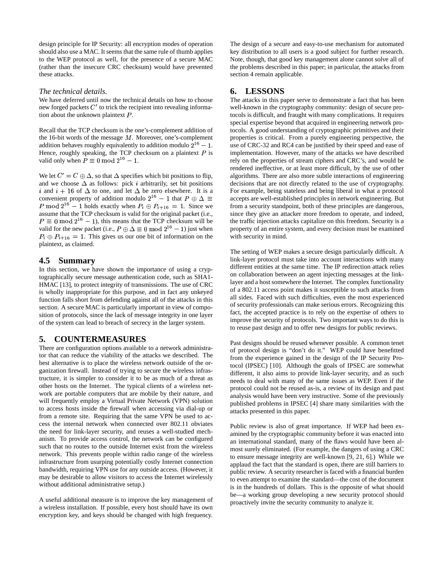design principle for IP Security: all encryption modes of operation should also use a MAC. It seems that the same rule of thumb applies to the WEP protocol as well, for the presence of a secure MAC (rather than the insecure CRC checksum) would have prevented these attacks.

#### *The technical details.*

We have deferred until now the technical details on how to choose new forged packets  $C'$  to trick the recipient into revealing information about the unknown plaintext  $P$ .

Recall that the TCP checksum is the one's-complement addition of the 16-bit words of the message  $M$ . Moreover, one's-complement addition behaves roughly equivalently to addition modulo  $2^{16} - 1$ . Hence, roughly speaking, the TCP checksum on a plaintext  $P$  is valid only when  $P \equiv 0 \mod 2^{16} - 1$ .

We let  $C' = C \oplus \Delta$ , so that  $\Delta$  specifies which bit positions to flip, and we choose  $\Delta$  as follows: pick *i* arbitrarily, set bit positions i and  $i + 16$  of  $\Delta$  to one, and let  $\Delta$  be zero elsewhere. It is a convenient property of addition modulo  $2^{16} - 1$  that  $P \oplus \Delta \equiv$  accepts a P mod  $2^{16} - 1$  holds exactly when  $P_i \oplus P_{i+16} = 1$ . Since we assume that the TCP checksum is valid for the original packet (i.e.,  $P \equiv 0 \mod 2^{16} - 1$ , this means that the TCP checksum will be valid for the new packet (i.e.,  $P \oplus \Delta \equiv 0 \mod 2^{16} - 1$ ) just when  $P_i \oplus P_{i+16} = 1$ . This gives us our one bit of information on the plaintext, as claimed.

#### **4.5 Summary**

In this section, we have shown the importance of using a cryptographically secure message authentication code, such as SHA1- HMAC [13], to protect integrity of transmissions. The use of CRC is wholly inappropriate for this purpose, and in fact any unkeyed function falls short from defending against all of the attacks in this section. A secure MAC is particularly important in view of composition of protocols, since the lack of message integrity in one layer of the system can lead to breach of secrecy in the larger system.

## **5. COUNTERMEASURES**

There are configuration options available to a network administrator that can reduce the viability of the attacks we described. The best alternative is to place the wireless network outside of the organization firewall. Instead of trying to secure the wireless infrastructure, it is simpler to consider it to be as much of a threat as other hosts on the Internet. The typical clients of a wireless network are portable computers that are mobile by their nature, and will frequently employ a Virtual Private Network (VPN) solution to access hosts inside the firewall when accessing via dial-up or from a remote site. Requiring that the same VPN be used to access the internal network when connected over 802.11 obviates the need for link-layer security, and reuses a well-studied mechanism. To provide access control, the network can be configured such that no routes to the outside Internet exist from the wireless network. This prevents people within radio range of the wireless infrastructure from usurping potentially costly Internet connection bandwidth, requiring VPN use for any outside access. (However, it may be desirable to allow visitors to access the Internet wirelessly without additional administrative setup.)

A useful additional measure is to improve the key management of a wireless installation. If possible, every host should have its own encryption key, and keys should be changed with high frequency. The design of a secure and easy-to-use mechanism for automated key distribution to all users is a good subject for further research. Note, though, that good key management alone cannot solve all of the problems described in this paper; in particular, the attacks from section 4 remain applicable.

# **6. LESSONS**

- 1. use of CRC-32 and RC4 can be justified by their speed and ease of The attacks in this paper serve to demonstrate a fact that has been well-known in the cryptography community: design of secure protocols is difficult, and fraught with many complications. It requires special expertise beyond that acquired in engineering network protocols. A good understanding of cryptographic primitives and their properties is critical. From a purely engineering perspective, the implementation. However, many of the attacks we have described rely on the properties of stream ciphers and CRC's, and would be rendered ineffective, or at least more difficult, by the use of other algorithms. There are also more subtle interactions of engineering decisions that are not directly related to the use of cryptography. For example, being stateless and being liberal in what a protocol accepts are well-established principles in network engineering. But from a security standpoint, both of these principles are dangerous, since they give an attacker more freedom to operate, and indeed, the traffic injection attacks capitalize on this freedom. Security is a property of an entire system, and every decision must be examined with security in mind.

> The setting of WEP makes a secure design particularly difficult. A link-layer protocol must take into account interactions with many different entities at the same time. The IP redirection attack relies on collaboration between an agent injecting messages at the linklayer and a host somewhere the Internet. The complex functionality of a 802.11 access point makes it susceptible to such attacks from all sides. Faced with such difficulties, even the most experienced of security professionals can make serious errors. Recognizing this fact, the accepted practice is to rely on the expertise of others to improve the security of protocols. Two important ways to do this is to reuse past design and to offer new designs for public reviews.

> Past designs should be reused whenever possible. A common tenet of protocol design is "don't do it." WEP could have benefitted from the experience gained in the design of the IP Security Protocol (IPSEC) [10]. Although the goals of IPSEC are somewhat different, it also aims to provide link-layer security, and as such needs to deal with many of the same issues as WEP. Even if the protocol could not be reused as-is, a review of its design and past analysis would have been very instructive. Some of the previously published problems in IPSEC [4] share many similarities with the attacks presented in this paper.

> Public review is also of great importance. If WEP had been examined by the cryptographic community before it was enacted into an international standard, many of the flaws would have been almost surely eliminated. (For example, the dangers of using a CRC to ensure message integrity are well-known [9, 21, 6].) While we applaud the fact that the standard is open, there are still barriers to public review. A security researcher is faced with a financial burden to even attempt to examine the standard—the cost of the document is in the hundreds of dollars. This is the opposite of what should be—a working group developing a new security protocol should proactively invite the security community to analyze it.